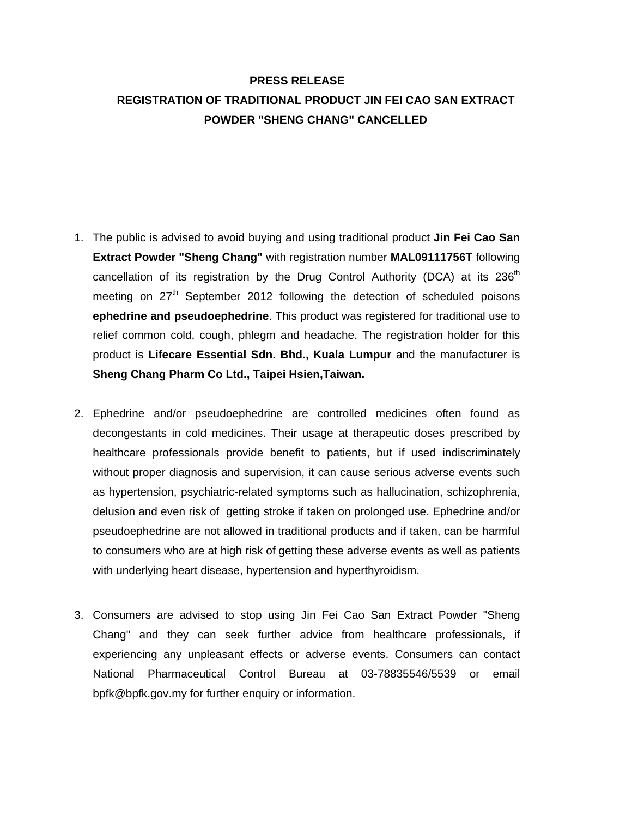## **PRESS RELEASE REGISTRATION OF TRADITIONAL PRODUCT JIN FEI CAO SAN EXTRACT POWDER "SHENG CHANG" CANCELLED**

- 1. The public is advised to avoid buying and using traditional product **Jin Fei Cao San Extract Powder "Sheng Chang"** with registration number **MAL09111756T** following cancellation of its registration by the Drug Control Authority (DCA) at its  $236<sup>th</sup>$ meeting on  $27<sup>th</sup>$  September 2012 following the detection of scheduled poisons **ephedrine and pseudoephedrine**. This product was registered for traditional use to relief common cold, cough, phlegm and headache. The registration holder for this product is **Lifecare Essential Sdn. Bhd., Kuala Lumpur** and the manufacturer is **Sheng Chang Pharm Co Ltd., Taipei Hsien,Taiwan.**
- 2. Ephedrine and/or pseudoephedrine are controlled medicines often found as decongestants in cold medicines. Their usage at therapeutic doses prescribed by healthcare professionals provide benefit to patients, but if used indiscriminately without proper diagnosis and supervision, it can cause serious adverse events such as hypertension, psychiatric-related symptoms such as hallucination, schizophrenia, delusion and even risk of getting stroke if taken on prolonged use. Ephedrine and/or pseudoephedrine are not allowed in traditional products and if taken, can be harmful to consumers who are at high risk of getting these adverse events as well as patients with underlying heart disease, hypertension and hyperthyroidism.
- 3. Consumers are advised to stop using Jin Fei Cao San Extract Powder "Sheng Chang" and they can seek further advice from healthcare professionals, if experiencing any unpleasant effects or adverse events. Consumers can contact National Pharmaceutical Control Bureau at 03-78835546/5539 or email bpfk@bpfk.gov.my for further enquiry or information.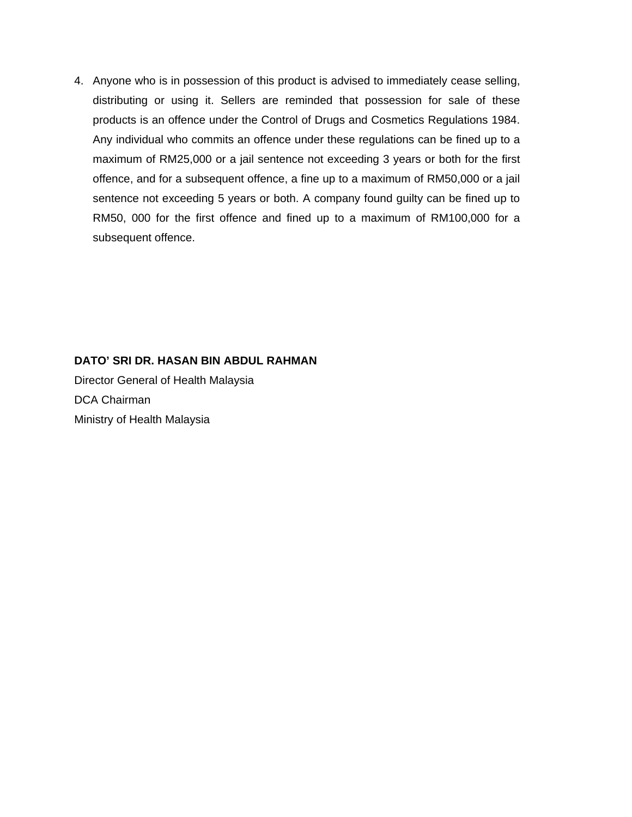4. Anyone who is in possession of this product is advised to immediately cease selling, distributing or using it. Sellers are reminded that possession for sale of these products is an offence under the Control of Drugs and Cosmetics Regulations 1984. Any individual who commits an offence under these regulations can be fined up to a maximum of RM25,000 or a jail sentence not exceeding 3 years or both for the first offence, and for a subsequent offence, a fine up to a maximum of RM50,000 or a jail sentence not exceeding 5 years or both. A company found guilty can be fined up to RM50, 000 for the first offence and fined up to a maximum of RM100,000 for a subsequent offence.

## **DATO' SRI DR. HASAN BIN ABDUL RAHMAN**

Director General of Health Malaysia DCA Chairman Ministry of Health Malaysia